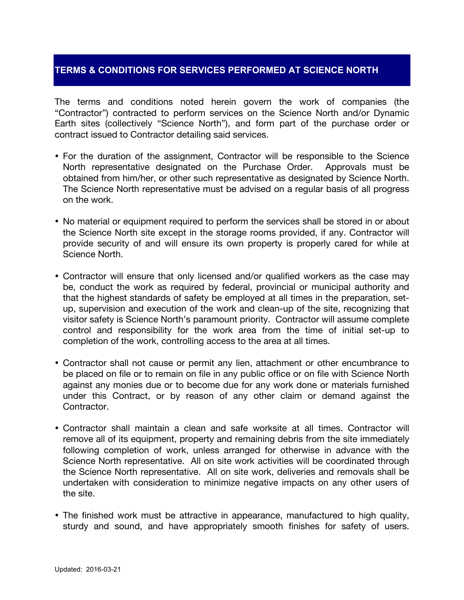## **TERMS & CONDITIONS FOR SERVICES PERFORMED AT SCIENCE NORTH**

The terms and conditions noted herein govern the work of companies (the "Contractor") contracted to perform services on the Science North and/or Dynamic Earth sites (collectively "Science North"), and form part of the purchase order or contract issued to Contractor detailing said services.

- For the duration of the assignment, Contractor will be responsible to the Science North representative designated on the Purchase Order. Approvals must be obtained from him/her, or other such representative as designated by Science North. The Science North representative must be advised on a regular basis of all progress on the work.
- No material or equipment required to perform the services shall be stored in or about the Science North site except in the storage rooms provided, if any. Contractor will provide security of and will ensure its own property is properly cared for while at Science North.
- Contractor will ensure that only licensed and/or qualified workers as the case may be, conduct the work as required by federal, provincial or municipal authority and that the highest standards of safety be employed at all times in the preparation, setup, supervision and execution of the work and clean-up of the site, recognizing that visitor safety is Science North's paramount priority. Contractor will assume complete control and responsibility for the work area from the time of initial set-up to completion of the work, controlling access to the area at all times.
- Contractor shall not cause or permit any lien, attachment or other encumbrance to be placed on file or to remain on file in any public office or on file with Science North against any monies due or to become due for any work done or materials furnished under this Contract, or by reason of any other claim or demand against the Contractor.
- Contractor shall maintain a clean and safe worksite at all times. Contractor will remove all of its equipment, property and remaining debris from the site immediately following completion of work, unless arranged for otherwise in advance with the Science North representative. All on site work activities will be coordinated through the Science North representative. All on site work, deliveries and removals shall be undertaken with consideration to minimize negative impacts on any other users of the site.
- The finished work must be attractive in appearance, manufactured to high quality, sturdy and sound, and have appropriately smooth finishes for safety of users.